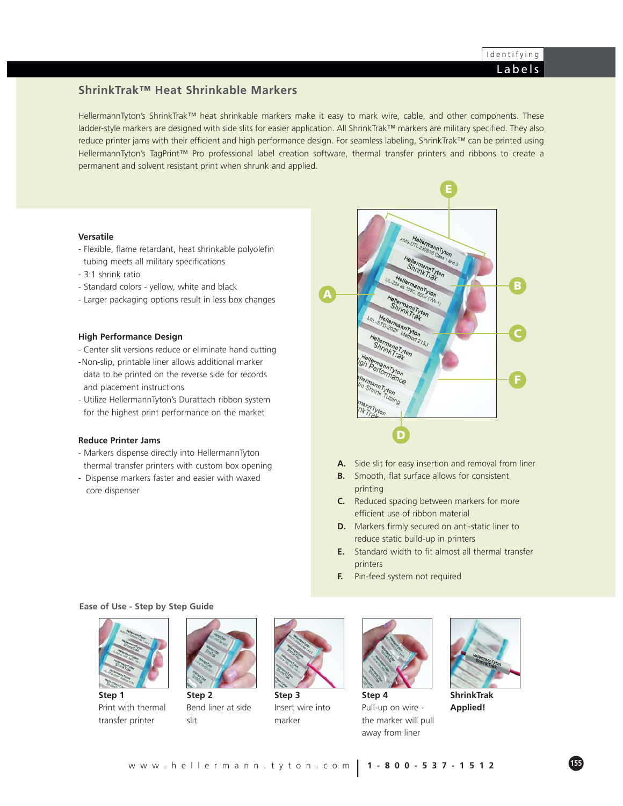## **ShrinkTrak™ Heat Shrinkable Markers**

HellermannTyton's ShrinkTrak™ heat shrinkable markers make it easy to mark wire, cable, and other components. These ladder-style markers are designed with side slits for easier application. All ShrinkTrak™ markers are military specified. They also reduce printer jams with their efficient and high performance design. For seamless labeling, ShrinkTrak™ can be printed using HellermannTyton's TagPrint™ Pro professional label creation software, thermal transfer printers and ribbons to create a permanent and solvent resistant print when shrunk and applied.

#### **Versatile**

- Flexible, flame retardant, heat shrinkable polyolefin tubing meets all military specifications
- 3:1 shrink ratio
- Standard colors yellow, white and black
- Larger packaging options result in less box changes

#### **High Performance Design**

- Center slit versions reduce or eliminate hand cutting
- -Non-slip, printable liner allows additional marker data to be printed on the reverse side for records and placement instructions
- Utilize HellermannTyton's Durattach ribbon system for the highest print performance on the market

#### **Reduce Printer Jams**

- Markers dispense directly into HellermannTyton thermal transfer printers with custom box opening
- Dispense markers faster and easier with waxed core dispenser

**D F C B E A**

- **A.** Side slit for easy insertion and removal from liner
- **B.** Smooth, flat surface allows for consistent printing
- **C.** Reduced spacing between markers for more efficient use of ribbon material
- **D.** Markers firmly secured on anti-static liner to reduce static build-up in printers
- **E.** Standard width to fit almost all thermal transfer printers
- **F.** Pin-feed system not required

#### **Ease of Use - Step by Step Guide**



**Step 1** Print with thermal transfer printer



**Step 2** Bend liner at side slit



**Step 3** Insert wire into marker



**Step 4** Pull-up on wire the marker will pull away from liner



**ShrinkTrak Applied!**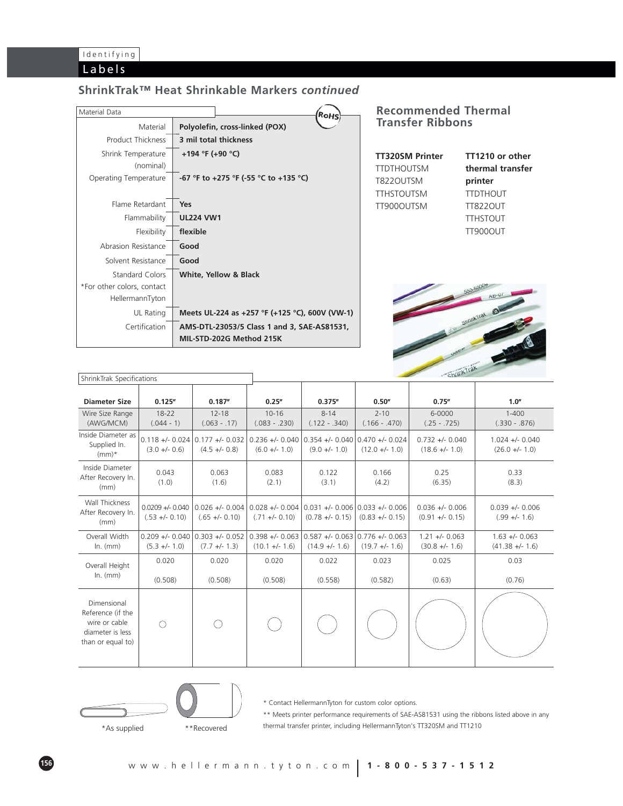## **ShrinkTrak™ Heat Shrinkable Markers** *continued*

| Material Data              | ×онs                                           |
|----------------------------|------------------------------------------------|
| Material                   | Polyolefin, cross-linked (POX)                 |
| Product Thickness          | 3 mil total thickness                          |
| Shrink Temperature         | +194 °F (+90 °C)                               |
| (nominal)                  |                                                |
| Operating Temperature      | -67 °F to +275 °F (-55 °C to +135 °C)          |
|                            |                                                |
| Flame Retardant            | Yes                                            |
| Flammability               | <b>UL224 VW1</b>                               |
| Flexibility                | flexible                                       |
| Abrasion Resistance        | Good                                           |
| Solvent Resistance         | Good                                           |
| Standard Colors            | White, Yellow & Black                          |
| *For other colors, contact |                                                |
| HellermannTyton            |                                                |
| UL Rating                  | Meets UL-224 as +257 °F (+125 °C), 600V (VW-1) |
| Certification              | AMS-DTL-23053/5 Class 1 and 3, SAE-AS81531,    |
|                            | MIL-STD-202G Method 215K                       |

### **Recommended Thermal Transfer Ribbons**

| TT320SM Printer   | TT1210 or other  |
|-------------------|------------------|
| TTDTHOUTSM        | thermal transfer |
| T822OUTSM         | printer          |
| <b>TTHSTOUTSM</b> | <b>TTDTHOUT</b>  |
| TT900OUTSM        | <b>TT822OUT</b>  |
|                   | <b>TTHSTOUT</b>  |
|                   | <b>TT900OUT</b>  |



| ShrinkTrak Specifications                                                                  |                                      |                                                      |                                     |                                                        |                             |                                        |                                       |
|--------------------------------------------------------------------------------------------|--------------------------------------|------------------------------------------------------|-------------------------------------|--------------------------------------------------------|-----------------------------|----------------------------------------|---------------------------------------|
| <b>Diameter Size</b>                                                                       | 0.125''                              | 0.187''                                              | 0.25''                              | 0.375''                                                | 0.50''                      | 0.75''                                 | 1.0"                                  |
| Wire Size Range<br>(AWG/MCM)                                                               | $18 - 22$<br>$(.044 - 1)$            | $12 - 18$<br>$(.063 - .17)$                          | $10 - 16$<br>$(.083 - .230)$        | $8 - 14$<br>$(.122 - .340)$                            | $2 - 10$<br>$(.166 - .470)$ | 6-0000<br>$(.25 - .725)$               | $1 - 400$<br>$(.330 - .876)$          |
| Inside Diameter as<br>Supplied In.<br>$(mm)^*$                                             | $0.118 + 0.024$<br>$(3.0 +/- 0.6)$   | $0.177 + - 0.032$<br>$(4.5 + - 0.8)$                 | $0.236 + 0.040$<br>$(6.0 +/- 1.0)$  | $0.354 + 0.040$ 0.470 + $-0.024$<br>$(9.0 +/- 1.0)$    | $(12.0 +/- 1.0)$            | $0.732 +/- 0.040$<br>$(18.6 +/- 1.0)$  | $1.024 +/- 0.040$<br>$(26.0 +/- 1.0)$ |
| Inside Diameter<br>After Recovery In.<br>(mm)                                              | 0.043<br>(1.0)                       | 0.063<br>(1.6)                                       | 0.083<br>(2.1)                      | 0.122<br>(3.1)                                         | 0.166<br>(4.2)              | 0.25<br>(6.35)                         | 0.33<br>(8.3)                         |
| Wall Thickness<br>After Recovery In.<br>(mm)                                               | $0.0209 + 0.040$<br>$(.53 +/- 0.10)$ | $0.026 +/- 0.004$<br>$(.65 +/- 0.10)$                | $0.028 + 0.004$<br>$(.71 +/- 0.10)$ | $0.031 +/- 0.006$ 0.033 +/- 0.006<br>$(0.78 +/- 0.15)$ | $(0.83 +/- 0.15)$           | $0.036 +/- 0.006$<br>$(0.91 +/- 0.15)$ | $0.039 +/- 0.006$<br>$(.99 +/- 1.6)$  |
| Overall Width<br>$In.$ ( $mm$ )                                                            | $(5.3 +/- 1.0)$                      | $0.209 +/- 0.040$ 0.303 +/- 0.052<br>$(7.7 +/- 1.3)$ | $0.398 + 0.063$<br>$(10.1 +/- 1.6)$ | $0.587 + 0.063 \mid 0.776 + 0.063$<br>$(14.9 +/- 1.6)$ | $(19.7 +/- 1.6)$            | $1.21 +/- 0.063$<br>$(30.8 +/- 1.6)$   | $1.63 + - 0.063$<br>$(41.38 +/- 1.6)$ |
| Overall Height                                                                             | 0.020                                | 0.020                                                | 0.020                               | 0.022                                                  | 0.023                       | 0.025                                  | 0.03                                  |
| $In.$ ( $mm$ )                                                                             | (0.508)                              | (0.508)                                              | (0.508)                             | (0.558)                                                | (0.582)                     | (0.63)                                 | (0.76)                                |
| Dimensional<br>Reference (if the<br>wire or cable<br>diameter is less<br>than or equal to) | ∩                                    | ( )                                                  |                                     |                                                        |                             |                                        |                                       |



\* Contact HellermannTyton for custom color options.

\*\* Meets printer performance requirements of SAE-AS81531 using the ribbons listed above in any thermal transfer printer, including HellermannTyton's TT320SM and TT1210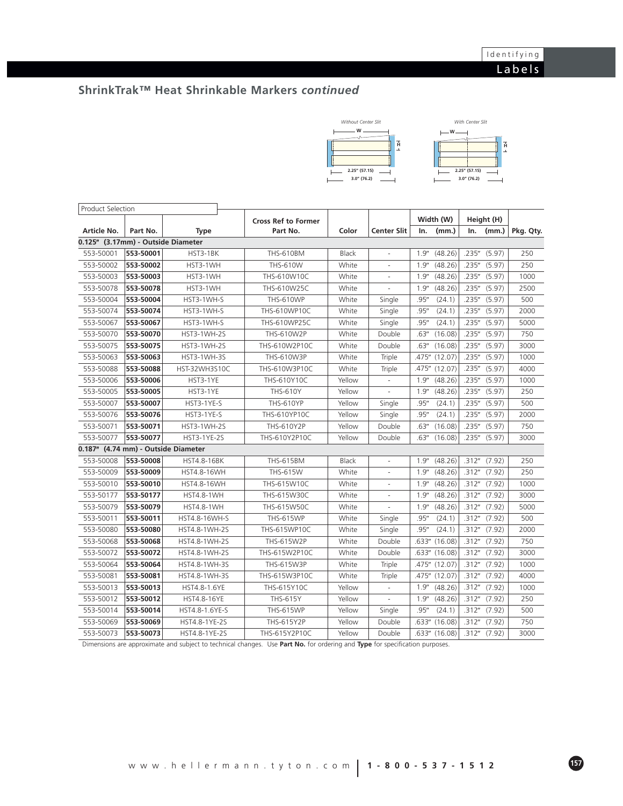# **ShrinkTrak™ Heat Shrinkable Markers** *continued*



| Product Selection                      |           |                      |                            |                    |                          |       |                    |        |              |      |
|----------------------------------------|-----------|----------------------|----------------------------|--------------------|--------------------------|-------|--------------------|--------|--------------|------|
|                                        |           |                      | <b>Cross Ref to Former</b> |                    |                          |       | Width (W)          |        | Height (H)   |      |
| Article No.<br>Part No.<br><b>Type</b> |           | Part No.             | Color                      | <b>Center Slit</b> | In.                      | (mm.) | In.                | (mm.)  | Pkg. Qty.    |      |
| 0.125" (3.17mm) - Outside Diameter     |           |                      |                            |                    |                          |       |                    |        |              |      |
| 553-50001                              | 553-50001 | HST3-1BK             | <b>THS-610BM</b>           | <b>Black</b>       | $\overline{\phantom{a}}$ | 1.9'' | (48.26)            | .235"  | (5.97)       | 250  |
| 553-50002                              | 553-50002 | HST3-1WH             | THS-610W                   | White              | ÷.                       | 1.9'' | (48.26)            | .235"  | (5.97)       | 250  |
| 553-50003                              | 553-50003 | HST3-1WH             | THS-610W10C                | White              | ÷.                       | 1.9'' | (48.26)            | .235"  | (5.97)       | 1000 |
| 553-50078                              | 553-50078 | HST3-1WH             | THS-610W25C                | White              |                          | 1.9'' | (48.26)            | .235"  | (5.97)       | 2500 |
| 553-50004                              | 553-50004 | HST3-1WH-S           | <b>THS-610WP</b>           | White              | Single                   | .95"  | (24.1)             | .235"  | (5.97)       | 500  |
| 553-50074                              | 553-50074 | HST3-1WH-S           | THS-610WP10C               | White              | Single                   | .95'' | (24.1)             | .235"  | (5.97)       | 2000 |
| 553-50067                              | 553-50067 | HST3-1WH-S           | THS-610WP25C               | White              | Single                   | .95"  | (24.1)             | .235"  | (5.97)       | 5000 |
| 553-50070                              | 553-50070 | HST3-1WH-2S          | THS-610W2P                 | White              | Double                   | .63'' | (16.08)            | .235'' | (5.97)       | 750  |
| 553-50075                              | 553-50075 | HST3-1WH-2S          | THS-610W2P10C              | White              | Double                   | .63'' | (16.08)            | .235"  | (5.97)       | 3000 |
| 553-50063                              | 553-50063 | <b>HST3-1WH-3S</b>   | THS-610W3P                 | White              | Triple                   |       | .475" (12.07)      | .235"  | (5.97)       | 1000 |
| 553-50088                              | 553-50088 | HST-32WH3S10C        | THS-610W3P10C              | White              | Triple                   |       | .475" (12.07)      | .235'' | (5.97)       | 4000 |
| 553-50006                              | 553-50006 | HST3-1YE             | THS-610Y10C                | Yellow             |                          | 1.9'' | (48.26)            | .235'' | (5.97)       | 1000 |
| 553-50005                              | 553-50005 | HST3-1YE             | <b>THS-610Y</b>            | Yellow             | ä,                       | 1.9'' | (48.26)            | .235'' | (5.97)       | 250  |
| 553-50007                              | 553-50007 | HST3-1YE-S           | <b>THS-610YP</b>           | Yellow             | Single                   | .95'' | (24.1)             | .235'' | (5.97)       | 500  |
| 553-50076                              | 553-50076 | HST3-1YE-S           | THS-610YP10C               | Yellow             | Single                   | .95'' | (24.1)             | .235'' | (5.97)       | 2000 |
| 553-50071                              | 553-50071 | <b>HST3-1WH-2S</b>   | THS-610Y2P                 | Yellow             | Double                   | .63'' | (16.08)            | .235'' | (5.97)       | 750  |
| 553-50077                              | 553-50077 | <b>HST3-1YE-2S</b>   | THS-610Y2P10C              | Yellow             | Double                   | .63'' | (16.08)            |        | .235" (5.97) | 3000 |
| 0.187" (4.74 mm) - Outside Diameter    |           |                      |                            |                    |                          |       |                    |        |              |      |
| 553-50008                              | 553-50008 | <b>HST4.8-16BK</b>   | <b>THS-615BM</b>           | <b>Black</b>       | ÷,                       | 1.9'' | (48.26)            |        | .312" (7.92) | 250  |
| 553-50009                              | 553-50009 | <b>HST4.8-16WH</b>   | <b>THS-615W</b>            | White              | ٠                        | 1.9'' | (48.26)            | .312'' | (7.92)       | 250  |
| 553-50010                              | 553-50010 | <b>HST4.8-16WH</b>   | THS-615W10C                | White              | $\overline{\phantom{m}}$ | 1.9'' | (48.26)            | .312'' | (7.92)       | 1000 |
| 553-50177                              | 553-50177 | <b>HST4.8-1WH</b>    | THS-615W30C                | White              |                          | 1.9'' | (48.26)            | .312"  | (7.92)       | 3000 |
| 553-50079                              | 553-50079 | <b>HST4.8-1WH</b>    | THS-615W50C                | White              |                          | 1.9'' | (48.26)            | .312'' | (7.92)       | 5000 |
| 553-50011                              | 553-50011 | HST4.8-16WH-S        | <b>THS-615WP</b>           | White              | Single                   | .95"  | (24.1)             | .312'' | (7.92)       | 500  |
| 553-50080                              | 553-50080 | HST4.8-1WH-2S        | <b>THS-615WP10C</b>        | White              | Single                   | .95'' | (24.1)             | .312"  | (7.92)       | 2000 |
| 553-50068                              | 553-50068 | HST4.8-1WH-2S        | THS-615W2P                 | White              | Double                   |       | .633" (16.08)      | .312'' | (7.92)       | 750  |
| 553-50072                              | 553-50072 | <b>HST4.8-1WH-2S</b> | THS-615W2P10C              | White              | Double                   |       | $.633''$ $(16.08)$ | .312'' | (7.92)       | 3000 |
| 553-50064                              | 553-50064 | HST4.8-1WH-3S        | <b>THS-615W3P</b>          | White              | Triple                   |       | .475" (12.07)      | .312'' | (7.92)       | 1000 |
| 553-50081                              | 553-50081 | HST4.8-1WH-3S        | THS-615W3P10C              | White              | Triple                   |       | .475" (12.07)      | .312'' | (7.92)       | 4000 |
| 553-50013                              | 553-50013 | HST4.8-1.6YE         | THS-615Y10C                | Yellow             |                          | 1.9'' | (48.26)            | .312'' | (7.92)       | 1000 |
| 553-50012                              | 553-50012 | HST4.8-16YE          | <b>THS-615Y</b>            | Yellow             |                          | 1.9'' | (48.26)            | .312"  | (7.92)       | 250  |
| 553-50014                              | 553-50014 | HST4.8-1.6YE-S       | <b>THS-615WP</b>           | Yellow             | Single                   | .95"  | (24.1)             | .312'' | (7.92)       | 500  |
| 553-50069                              | 553-50069 | HST4.8-1YE-2S        | THS-615Y2P                 | Yellow             | Double                   |       | .633" (16.08)      | .312'' | (7.92)       | 750  |
| 553-50073                              | 553-50073 | HST4.8-1YE-2S        | THS-615Y2P10C              | Yellow             | Double                   |       | .633" (16.08)      | .312'' | (7.92)       | 3000 |

Dimensions are approximate and subject to technical changes. Use **Part No.** for ordering and **Type** for specification purposes.